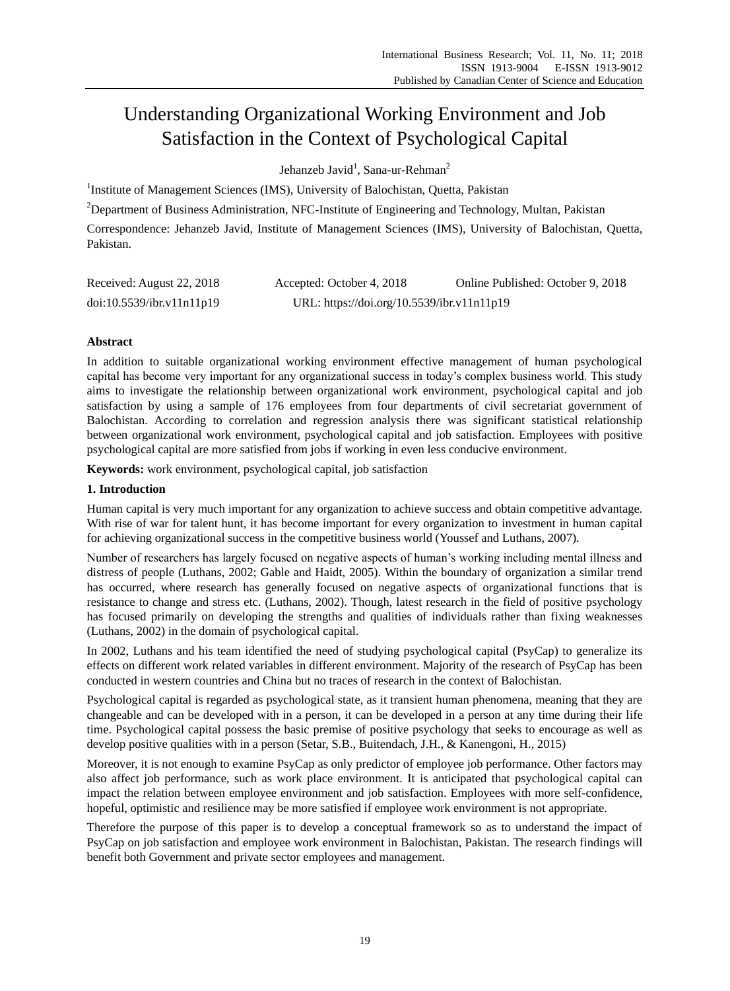# Understanding Organizational Working Environment and Job Satisfaction in the Context of Psychological Capital

Jehanzeb Javid<sup>1</sup>, Sana-ur-Rehman<sup>2</sup>

<sup>1</sup>Institute of Management Sciences (IMS), University of Balochistan, Quetta, Pakistan

<sup>2</sup>Department of Business Administration, NFC-Institute of Engineering and Technology, Multan, Pakistan

Correspondence: Jehanzeb Javid, Institute of Management Sciences (IMS), University of Balochistan, Quetta, Pakistan.

| Received: August 22, 2018 | Accepted: October 4, 2018                  | Online Published: October 9, 2018 |
|---------------------------|--------------------------------------------|-----------------------------------|
| doi:10.5539/ibr.v11n11p19 | URL: https://doi.org/10.5539/ibr.v11n11p19 |                                   |

# **Abstract**

In addition to suitable organizational working environment effective management of human psychological capital has become very important for any organizational success in today's complex business world. This study aims to investigate the relationship between organizational work environment, psychological capital and job satisfaction by using a sample of 176 employees from four departments of civil secretariat government of Balochistan. According to correlation and regression analysis there was significant statistical relationship between organizational work environment, psychological capital and job satisfaction. Employees with positive psychological capital are more satisfied from jobs if working in even less conducive environment.

**Keywords:** work environment, psychological capital, job satisfaction

## **1. Introduction**

Human capital is very much important for any organization to achieve success and obtain competitive advantage. With rise of war for talent hunt, it has become important for every organization to investment in human capital for achieving organizational success in the competitive business world (Youssef and Luthans, 2007).

Number of researchers has largely focused on negative aspects of human's working including mental illness and distress of people (Luthans, 2002; Gable and Haidt, 2005). Within the boundary of organization a similar trend has occurred, where research has generally focused on negative aspects of organizational functions that is resistance to change and stress etc. (Luthans, 2002). Though, latest research in the field of positive psychology has focused primarily on developing the strengths and qualities of individuals rather than fixing weaknesses (Luthans, 2002) in the domain of psychological capital.

In 2002, Luthans and his team identified the need of studying psychological capital (PsyCap) to generalize its effects on different work related variables in different environment. Majority of the research of PsyCap has been conducted in western countries and China but no traces of research in the context of Balochistan.

Psychological capital is regarded as psychological state, as it transient human phenomena, meaning that they are changeable and can be developed with in a person, it can be developed in a person at any time during their life time. Psychological capital possess the basic premise of positive psychology that seeks to encourage as well as develop positive qualities with in a person (Setar, S.B., Buitendach, J.H., & Kanengoni, H., 2015)

Moreover, it is not enough to examine PsyCap as only predictor of employee job performance. Other factors may also affect job performance, such as work place environment. It is anticipated that psychological capital can impact the relation between employee environment and job satisfaction. Employees with more self-confidence, hopeful, optimistic and resilience may be more satisfied if employee work environment is not appropriate.

Therefore the purpose of this paper is to develop a conceptual framework so as to understand the impact of PsyCap on job satisfaction and employee work environment in Balochistan, Pakistan. The research findings will benefit both Government and private sector employees and management.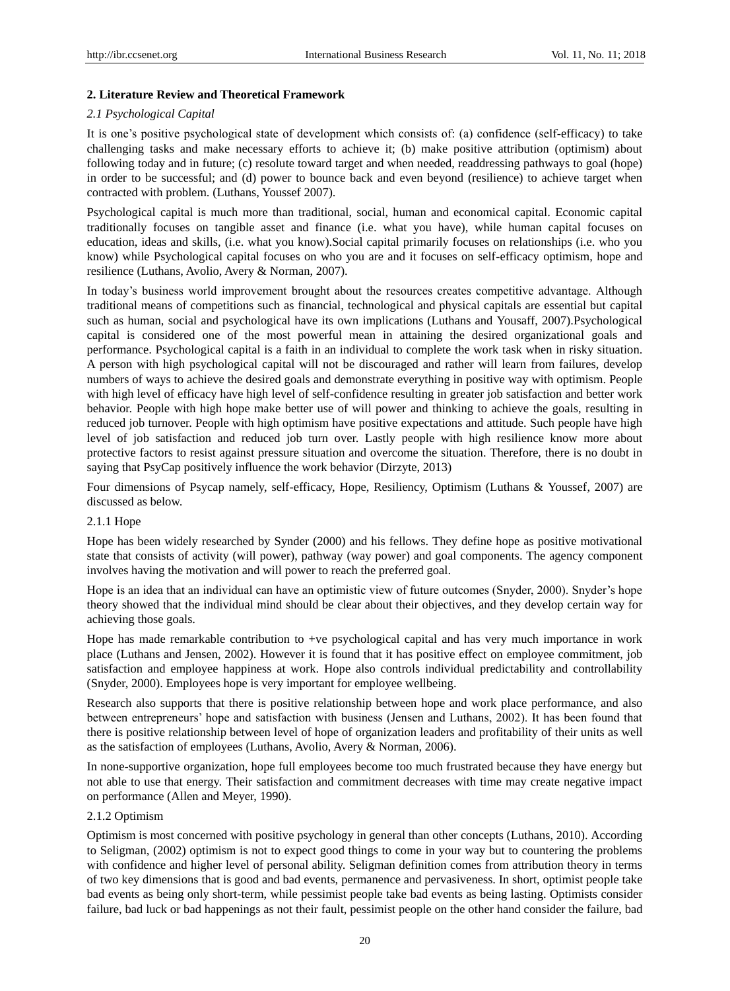## **2. Literature Review and Theoretical Framework**

## *2.1 Psychological Capital*

It is one's positive psychological state of development which consists of: (a) confidence (self-efficacy) to take challenging tasks and make necessary efforts to achieve it; (b) make positive attribution (optimism) about following today and in future; (c) resolute toward target and when needed, readdressing pathways to goal (hope) in order to be successful; and (d) power to bounce back and even beyond (resilience) to achieve target when contracted with problem. (Luthans, Youssef [2007\)](http://www.sajhrm.co.za/index.php/sajhrm/article/view/615/html#CIT0048_615).

Psychological capital is much more than traditional, social, human and economical capital. Economic capital traditionally focuses on tangible asset and finance (i.e. what you have), while human capital focuses on education, ideas and skills, (i.e. what you know).Social capital primarily focuses on relationships (i.e. who you know) while Psychological capital focuses on who you are and it focuses on self-efficacy optimism, hope and resilience (Luthans, Avolio, Avery & Norman, 2007).

In today's business world improvement brought about the resources creates competitive advantage. Although traditional means of competitions such as financial, technological and physical capitals are essential but capital such as human, social and psychological have its own implications (Luthans and Yousaff, 2007).Psychological capital is considered one of the most powerful mean in attaining the desired organizational goals and performance. Psychological capital is a faith in an individual to complete the work task when in risky situation. A person with high psychological capital will not be discouraged and rather will learn from failures, develop numbers of ways to achieve the desired goals and demonstrate everything in positive way with optimism. People with high level of efficacy have high level of self-confidence resulting in greater job satisfaction and better work behavior. People with high hope make better use of will power and thinking to achieve the goals, resulting in reduced job turnover. People with high optimism have positive expectations and attitude. Such people have high level of job satisfaction and reduced job turn over. Lastly people with high resilience know more about protective factors to resist against pressure situation and overcome the situation. Therefore, there is no doubt in saying that PsyCap positively influence the work behavior (Dirzyte, 2013)

Four dimensions of Psycap namely, self-efficacy, Hope, Resiliency, Optimism (Luthans & Youssef, 2007) are discussed as below.

## 2.1.1 Hope

Hope has been widely researched by Synder (2000) and his fellows. They define hope as positive motivational state that consists of activity (will power), pathway (way power) and goal components. The agency component involves having the motivation and will power to reach the preferred goal.

Hope is an idea that an individual can have an optimistic view of future outcomes (Snyder, 2000). Snyder's hope theory showed that the individual mind should be clear about their objectives, and they develop certain way for achieving those goals.

Hope has made remarkable contribution to +ve psychological capital and has very much importance in work place (Luthans and Jensen, 2002). However it is found that it has positive effect on employee commitment, job satisfaction and employee happiness at work. Hope also controls individual predictability and controllability (Snyder, 2000). Employees hope is very important for employee wellbeing.

Research also supports that there is positive relationship between hope and work place performance, and also between entrepreneurs' hope and satisfaction with business (Jensen and Luthans, 2002). It has been found that there is positive relationship between level of hope of organization leaders and profitability of their units as well as the satisfaction of employees (Luthans, Avolio, Avery & Norman, 2006).

In none-supportive organization, hope full employees become too much frustrated because they have energy but not able to use that energy. Their satisfaction and commitment decreases with time may create negative impact on performance (Allen and Meyer, 1990).

## 2.1.2 Optimism

Optimism is most concerned with positive psychology in general than other concepts (Luthans, 2010). According to Seligman, (2002) optimism is not to expect good things to come in your way but to countering the problems with confidence and higher level of personal ability. Seligman definition comes from attribution theory in terms of two key dimensions that is good and bad events, permanence and pervasiveness. In short, optimist people take bad events as being only short-term, while pessimist people take bad events as being lasting. Optimists consider failure, bad luck or bad happenings as not their fault, pessimist people on the other hand consider the failure, bad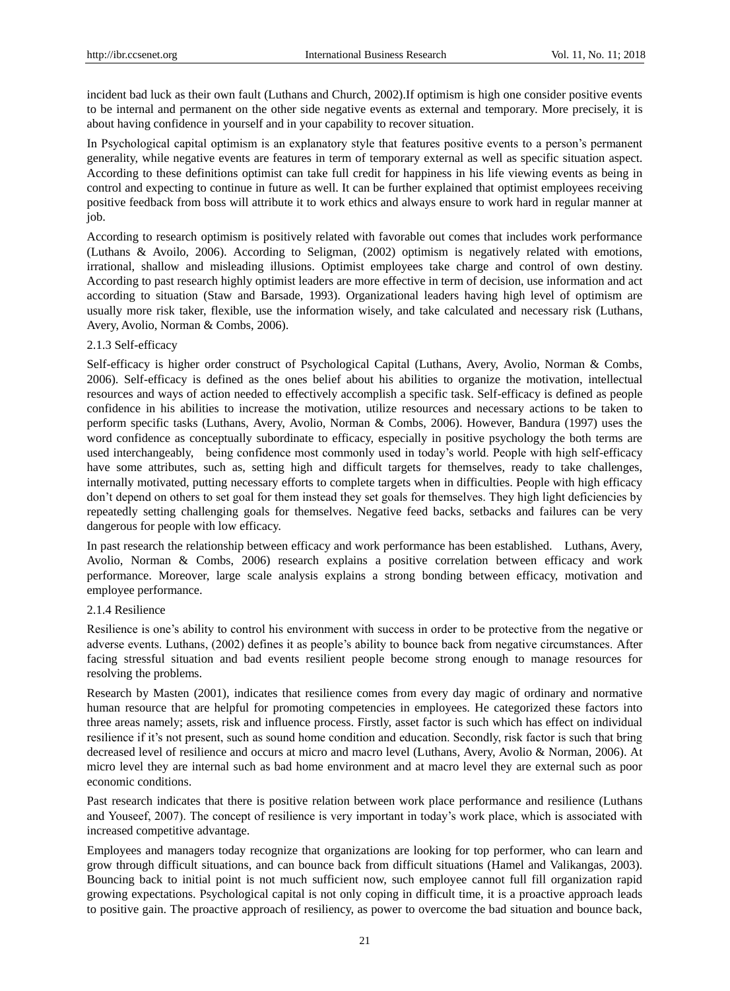incident bad luck as their own fault (Luthans and Church, 2002).If optimism is high one consider positive events to be internal and permanent on the other side negative events as external and temporary. More precisely, it is about having confidence in yourself and in your capability to recover situation.

In Psychological capital optimism is an explanatory style that features positive events to a person's permanent generality, while negative events are features in term of temporary external as well as specific situation aspect. According to these definitions optimist can take full credit for happiness in his life viewing events as being in control and expecting to continue in future as well. It can be further explained that optimist employees receiving positive feedback from boss will attribute it to work ethics and always ensure to work hard in regular manner at job.

According to research optimism is positively related with favorable out comes that includes work performance (Luthans & Avoilo, 2006). According to Seligman, (2002) optimism is negatively related with emotions, irrational, shallow and misleading illusions. Optimist employees take charge and control of own destiny. According to past research highly optimist leaders are more effective in term of decision, use information and act according to situation (Staw and Barsade, 1993). Organizational leaders having high level of optimism are usually more risk taker, flexible, use the information wisely, and take calculated and necessary risk (Luthans, Avery, Avolio, Norman & Combs, 2006).

## 2.1.3 Self-efficacy

Self-efficacy is higher order construct of Psychological Capital (Luthans, Avery, Avolio, Norman & Combs, 2006). Self-efficacy is defined as the ones belief about his abilities to organize the motivation, intellectual resources and ways of action needed to effectively accomplish a specific task. Self-efficacy is defined as people confidence in his abilities to increase the motivation, utilize resources and necessary actions to be taken to perform specific tasks (Luthans, Avery, Avolio, Norman & Combs, 2006). However, Bandura (1997) uses the word confidence as conceptually subordinate to efficacy, especially in positive psychology the both terms are used interchangeably, being confidence most commonly used in today's world. People with high self-efficacy have some attributes, such as, setting high and difficult targets for themselves, ready to take challenges, internally motivated, putting necessary efforts to complete targets when in difficulties. People with high efficacy don't depend on others to set goal for them instead they set goals for themselves. They high light deficiencies by repeatedly setting challenging goals for themselves. Negative feed backs, setbacks and failures can be very dangerous for people with low efficacy.

In past research the relationship between efficacy and work performance has been established. Luthans, Avery, Avolio, Norman & Combs, 2006) research explains a positive correlation between efficacy and work performance. Moreover, large scale analysis explains a strong bonding between efficacy, motivation and employee performance.

#### 2.1.4 Resilience

Resilience is one's ability to control his environment with success in order to be protective from the negative or adverse events. Luthans, (2002) defines it as people's ability to bounce back from negative circumstances. After facing stressful situation and bad events resilient people become strong enough to manage resources for resolving the problems.

Research by Masten (2001), indicates that resilience comes from every day magic of ordinary and normative human resource that are helpful for promoting competencies in employees. He categorized these factors into three areas namely; assets, risk and influence process. Firstly, asset factor is such which has effect on individual resilience if it's not present, such as sound home condition and education. Secondly, risk factor is such that bring decreased level of resilience and occurs at micro and macro level (Luthans, Avery, Avolio & Norman, 2006). At micro level they are internal such as bad home environment and at macro level they are external such as poor economic conditions.

Past research indicates that there is positive relation between work place performance and resilience (Luthans and Youseef, 2007). The concept of resilience is very important in today's work place, which is associated with increased competitive advantage.

Employees and managers today recognize that organizations are looking for top performer, who can learn and grow through difficult situations, and can bounce back from difficult situations (Hamel and Valikangas, 2003). Bouncing back to initial point is not much sufficient now, such employee cannot full fill organization rapid growing expectations. Psychological capital is not only coping in difficult time, it is a proactive approach leads to positive gain. The proactive approach of resiliency, as power to overcome the bad situation and bounce back,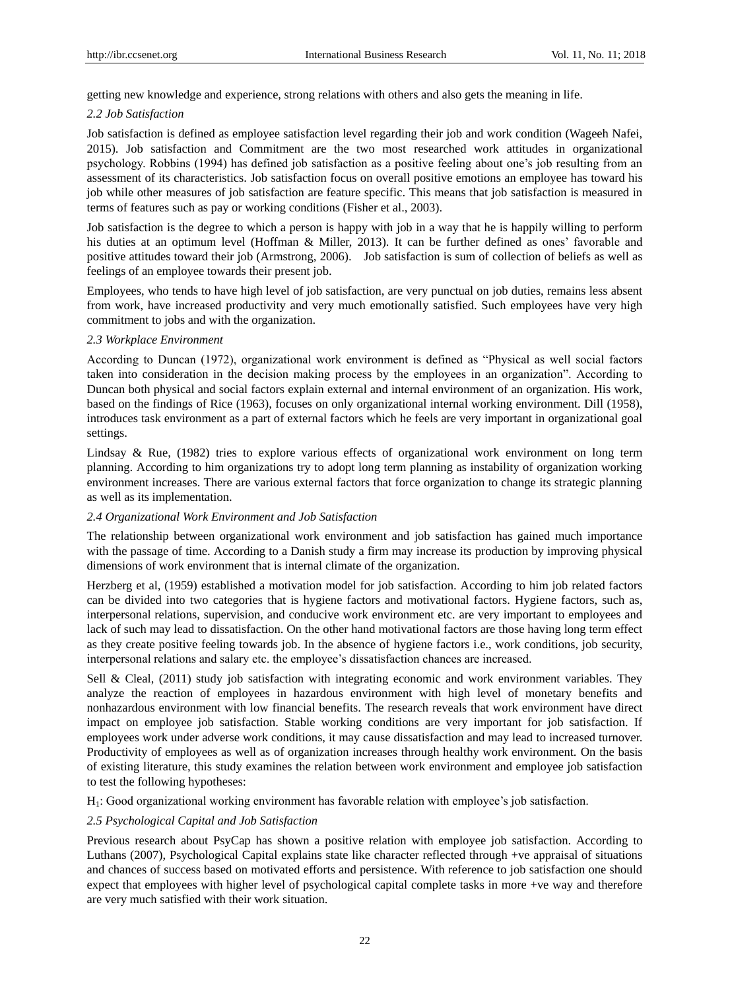getting new knowledge and experience, strong relations with others and also gets the meaning in life.

#### *2.2 Job Satisfaction*

Job satisfaction is defined as employee satisfaction level regarding their job and work condition (Wageeh Nafei, 2015). Job satisfaction and Commitment are the two most researched work attitudes in organizational psychology. Robbins (1994) has defined job satisfaction as a positive feeling about one's job resulting from an assessment of its characteristics. Job satisfaction focus on overall positive emotions an employee has toward his job while other measures of job satisfaction are feature specific. This means that job satisfaction is measured in terms of features such as pay or working conditions (Fisher et al., 2003).

Job satisfaction is the degree to which a person is happy with job in a way that he is happily willing to perform his duties at an optimum level (Hoffman & Miller, 2013). It can be further defined as ones' favorable and positive attitudes toward their job (Armstrong, 2006). Job satisfaction is sum of collection of beliefs as well as feelings of an employee towards their present job.

Employees, who tends to have high level of job satisfaction, are very punctual on job duties, remains less absent from work, have increased productivity and very much emotionally satisfied. Such employees have very high commitment to jobs and with the organization.

#### *2.3 Workplace Environment*

According to Duncan (1972), organizational work environment is defined as "Physical as well social factors taken into consideration in the decision making process by the employees in an organization". According to Duncan both physical and social factors explain external and internal environment of an organization. His work, based on the findings of Rice (1963), focuses on only organizational internal working environment. Dill (1958), introduces task environment as a part of external factors which he feels are very important in organizational goal settings.

Lindsay & Rue, (1982) tries to explore various effects of organizational work environment on long term planning. According to him organizations try to adopt long term planning as instability of organization working environment increases. There are various external factors that force organization to change its strategic planning as well as its implementation.

#### *2.4 Organizational Work Environment and Job Satisfaction*

The relationship between organizational work environment and job satisfaction has gained much importance with the passage of time. According to a Danish study a firm may increase its production by improving physical dimensions of work environment that is internal climate of the organization.

Herzberg et al, (1959) established a motivation model for job satisfaction. According to him job related factors can be divided into two categories that is hygiene factors and motivational factors. Hygiene factors, such as, interpersonal relations, supervision, and conducive work environment etc. are very important to employees and lack of such may lead to dissatisfaction. On the other hand motivational factors are those having long term effect as they create positive feeling towards job. In the absence of hygiene factors i.e., work conditions, job security, interpersonal relations and salary etc. the employee's dissatisfaction chances are increased.

Sell & Cleal, (2011) study job satisfaction with integrating economic and work environment variables. They analyze the reaction of employees in hazardous environment with high level of monetary benefits and nonhazardous environment with low financial benefits. The research reveals that work environment have direct impact on employee job satisfaction. Stable working conditions are very important for job satisfaction. If employees work under adverse work conditions, it may cause dissatisfaction and may lead to increased turnover. Productivity of employees as well as of organization increases through healthy work environment. On the basis of existing literature, this study examines the relation between work environment and employee job satisfaction to test the following hypotheses:

H1: Good organizational working environment has favorable relation with employee's job satisfaction.

## *2.5 Psychological Capital and Job Satisfaction*

Previous research about PsyCap has shown a positive relation with employee job satisfaction. According to Luthans (2007), Psychological Capital explains state like character reflected through +ve appraisal of situations and chances of success based on motivated efforts and persistence. With reference to job satisfaction one should expect that employees with higher level of psychological capital complete tasks in more +ve way and therefore are very much satisfied with their work situation.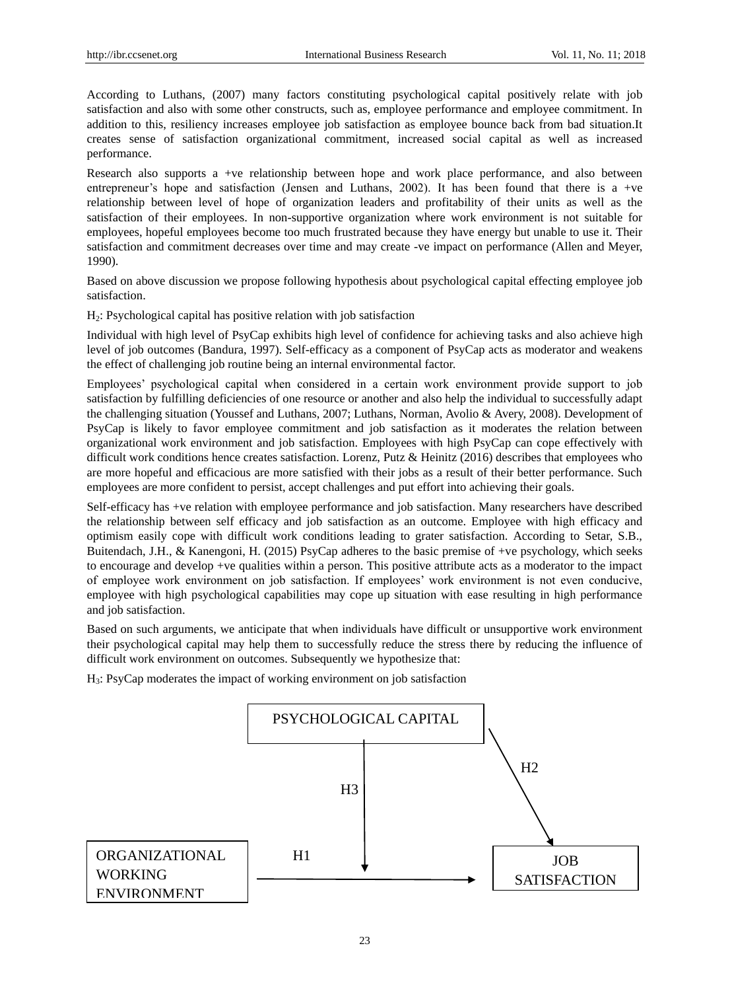According to Luthans, (2007) many factors constituting psychological capital positively relate with job satisfaction and also with some other constructs, such as, employee performance and employee commitment. In addition to this, resiliency increases employee job satisfaction as employee bounce back from bad situation.It creates sense of satisfaction organizational commitment, increased social capital as well as increased performance.

Research also supports a +ve relationship between hope and work place performance, and also between entrepreneur's hope and satisfaction (Jensen and Luthans, 2002). It has been found that there is a +ve relationship between level of hope of organization leaders and profitability of their units as well as the satisfaction of their employees. In non-supportive organization where work environment is not suitable for employees, hopeful employees become too much frustrated because they have energy but unable to use it. Their satisfaction and commitment decreases over time and may create -ve impact on performance (Allen and Meyer, 1990).

Based on above discussion we propose following hypothesis about psychological capital effecting employee job satisfaction.

H2: Psychological capital has positive relation with job satisfaction

Individual with high level of PsyCap exhibits high level of confidence for achieving tasks and also achieve high level of job outcomes (Bandura, 1997). Self-efficacy as a component of PsyCap acts as moderator and weakens the effect of challenging job routine being an internal environmental factor.

Employees' psychological capital when considered in a certain work environment provide support to job satisfaction by fulfilling deficiencies of one resource or another and also help the individual to successfully adapt the challenging situation (Youssef and Luthans, 2007; Luthans, Norman, Avolio & Avery, 2008). Development of PsyCap is likely to favor employee commitment and job satisfaction as it moderates the relation between organizational work environment and job satisfaction. Employees with high PsyCap can cope effectively with difficult work conditions hence creates satisfaction. Lorenz, Putz & Heinitz (2016) describes that employees who are more hopeful and efficacious are more satisfied with their jobs as a result of their better performance. Such employees are more confident to persist, accept challenges and put effort into achieving their goals.

Self-efficacy has +ve relation with employee performance and job satisfaction. Many researchers have described the relationship between self efficacy and job satisfaction as an outcome. Employee with high efficacy and optimism easily cope with difficult work conditions leading to grater satisfaction. According to Setar, S.B., Buitendach, J.H., & Kanengoni, H. (2015) PsyCap adheres to the basic premise of +ve psychology, which seeks to encourage and develop +ve qualities within a person. This positive attribute acts as a moderator to the impact of employee work environment on job satisfaction. If employees' work environment is not even conducive, employee with high psychological capabilities may cope up situation with ease resulting in high performance and job satisfaction.

Based on such arguments, we anticipate that when individuals have difficult or unsupportive work environment their psychological capital may help them to successfully reduce the stress there by reducing the influence of difficult work environment on outcomes. Subsequently we hypothesize that:

H3: PsyCap moderates the impact of working environment on job satisfaction

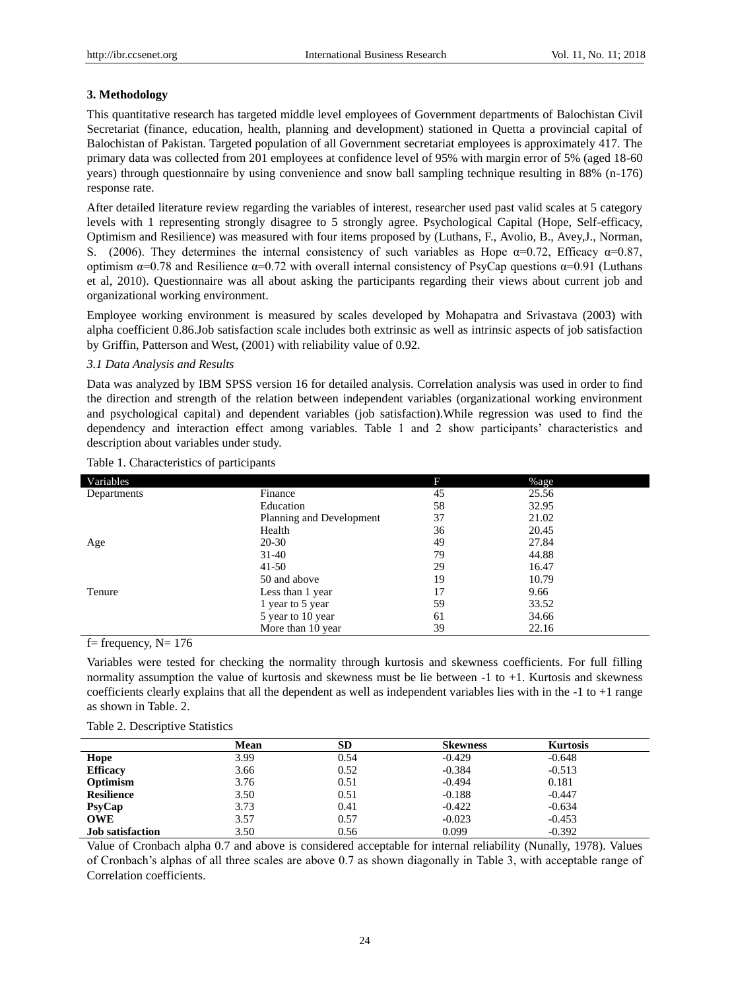### **3. Methodology**

This quantitative research has targeted middle level employees of Government departments of Balochistan Civil Secretariat (finance, education, health, planning and development) stationed in Quetta a provincial capital of Balochistan of Pakistan. Targeted population of all Government secretariat employees is approximately 417. The primary data was collected from 201 employees at confidence level of 95% with margin error of 5% (aged 18-60 years) through questionnaire by using convenience and snow ball sampling technique resulting in 88% (n-176) response rate.

After detailed literature review regarding the variables of interest, researcher used past valid scales at 5 category levels with 1 representing strongly disagree to 5 strongly agree. Psychological Capital (Hope, Self-efficacy, Optimism and Resilience) was measured with four items proposed by (Luthans, F., Avolio, B., Avey,J., Norman, S. (2006). They determines the internal consistency of such variables as Hope  $\alpha=0.72$ , Efficacy  $\alpha=0.87$ , optimism  $\alpha$ =0.78 and Resilience  $\alpha$ =0.72 with overall internal consistency of PsyCap questions  $\alpha$ =0.91 (Luthans et al, 2010). Questionnaire was all about asking the participants regarding their views about current job and organizational working environment.

Employee working environment is measured by scales developed by Mohapatra and Srivastava (2003) with alpha coefficient 0.86.Job satisfaction scale includes both extrinsic as well as intrinsic aspects of job satisfaction by Griffin, Patterson and West, (2001) with reliability value of 0.92.

#### *3.1 Data Analysis and Results*

Data was analyzed by IBM SPSS version 16 for detailed analysis. Correlation analysis was used in order to find the direction and strength of the relation between independent variables (organizational working environment and psychological capital) and dependent variables (job satisfaction).While regression was used to find the dependency and interaction effect among variables. Table 1 and 2 show participants' characteristics and description about variables under study.

| Variables   |                          | F  | %age  |
|-------------|--------------------------|----|-------|
| Departments | Finance                  | 45 | 25.56 |
|             | Education                | 58 | 32.95 |
|             | Planning and Development | 37 | 21.02 |
|             | Health                   | 36 | 20.45 |
| Age         | 20-30                    | 49 | 27.84 |
|             | $31-40$                  | 79 | 44.88 |
|             | $41 - 50$                | 29 | 16.47 |
|             | 50 and above             | 19 | 10.79 |
| Tenure      | Less than 1 year         | 17 | 9.66  |
|             | 1 year to 5 year         | 59 | 33.52 |
|             | 5 year to 10 year        | 61 | 34.66 |
|             | More than 10 year        | 39 | 22.16 |

## Table 1. Characteristics of participants

f = frequency,  $N = 176$ 

Variables were tested for checking the normality through kurtosis and skewness coefficients. For full filling normality assumption the value of kurtosis and skewness must be lie between -1 to +1. Kurtosis and skewness coefficients clearly explains that all the dependent as well as independent variables lies with in the  $-1$  to  $+1$  range as shown in Table. 2.

|                         | Mean | <b>SD</b> | <b>Skewness</b> | <b>Kurtosis</b> |  |
|-------------------------|------|-----------|-----------------|-----------------|--|
| Hope                    | 3.99 | 0.54      | $-0.429$        | $-0.648$        |  |
| <b>Efficacy</b>         | 3.66 | 0.52      | $-0.384$        | $-0.513$        |  |
| Optimism                | 3.76 | 0.51      | $-0.494$        | 0.181           |  |
| <b>Resilience</b>       | 3.50 | 0.51      | $-0.188$        | $-0.447$        |  |
| P <sub>SY</sub> Cap     | 3.73 | 0.41      | $-0.422$        | $-0.634$        |  |
| <b>OWE</b>              | 3.57 | 0.57      | $-0.023$        | $-0.453$        |  |
| <b>Job</b> satisfaction | 3.50 | 0.56      | 0.099           | $-0.392$        |  |

Table 2. Descriptive Statistics

Value of Cronbach alpha 0.7 and above is considered acceptable for internal reliability (Nunally, 1978). Values of Cronbach's alphas of all three scales are above 0.7 as shown diagonally in Table 3, with acceptable range of Correlation coefficients.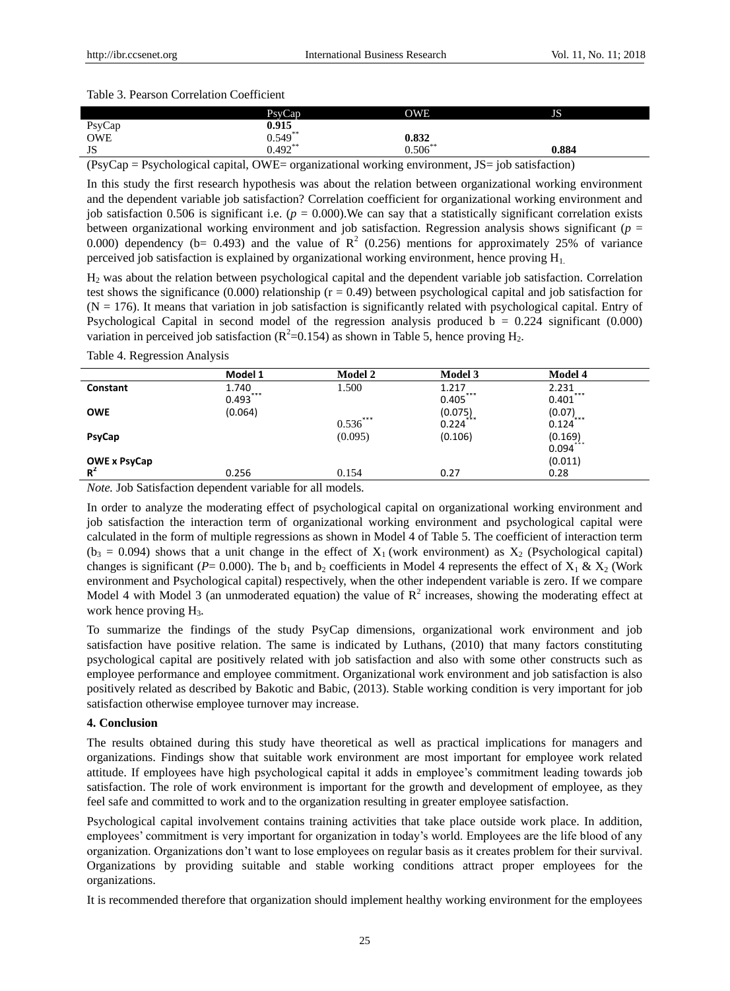#### Table 3. Pearson Correlation Coefficient

|            | PsvCap <sub>1</sub> | OWE        | JS    |
|------------|---------------------|------------|-------|
| PsyCap     | 0.915               |            |       |
| <b>OWE</b> | $0.549**$           | 0.832      |       |
| JS         | $0.492**$           | $0.506***$ | 0.884 |

 $(PsyCap = Psychology)$ capital, OWE= organizational working environment, JS= job satisfaction)

In this study the first research hypothesis was about the relation between organizational working environment and the dependent variable job satisfaction? Correlation coefficient for organizational working environment and job satisfaction 0.506 is significant i.e.  $(p = 0.000)$ . We can say that a statistically significant correlation exists between organizational working environment and job satisfaction. Regression analysis shows significant (*p* = 0.000) dependency (b= 0.493) and the value of  $\mathbb{R}^2$  (0.256) mentions for approximately 25% of variance perceived job satisfaction is explained by organizational working environment, hence proving  $H_1$ .

H<sup>2</sup> was about the relation between psychological capital and the dependent variable job satisfaction. Correlation test shows the significance (0.000) relationship ( $r = 0.49$ ) between psychological capital and job satisfaction for  $(N = 176)$ . It means that variation in job satisfaction is significantly related with psychological capital. Entry of Psychological Capital in second model of the regression analysis produced  $b = 0.224$  significant (0.000) variation in perceived job satisfaction ( $R^2$ =0.154) as shown in Table 5, hence proving  $H_2$ .

|               | Model 1      | <b>Model 2</b> | <b>Model 3</b> | <b>Model 4</b>          |
|---------------|--------------|----------------|----------------|-------------------------|
| Constant      | 1.740<br>*** | 1.500          | 1.217<br>***   | 2.231<br>***            |
|               | 0.493        |                | 0.405          | 0.401                   |
| <b>OWE</b>    | (0.064)      |                | (0.075)<br>*** | $(0.07)$ <sub>***</sub> |
|               |              | ***<br>0.536   | 0.224          | 0.124                   |
| <b>PsyCap</b> |              | (0.095)        | (0.106)        | (0.169)<br>***          |
|               |              |                |                | 0.094                   |
| OWE x PsyCap  |              |                |                | (0.011)                 |
| $R^2$         | 0.256        | 0.154          | 0.27           | 0.28                    |

Table 4. Regression Analysis

*Note.* Job Satisfaction dependent variable for all models.

In order to analyze the moderating effect of psychological capital on organizational working environment and job satisfaction the interaction term of organizational working environment and psychological capital were calculated in the form of multiple regressions as shown in Model 4 of Table 5. The coefficient of interaction term  $(b_3 = 0.094)$  shows that a unit change in the effect of  $X_1$  (work environment) as  $X_2$  (Psychological capital) changes is significant (*P*= 0.000). The b<sub>1</sub> and b<sub>2</sub> coefficients in Model 4 represents the effect of  $X_1 \& X_2$  (Work environment and Psychological capital) respectively, when the other independent variable is zero. If we compare Model 4 with Model 3 (an unmoderated equation) the value of  $\mathbb{R}^2$  increases, showing the moderating effect at work hence proving  $H_3$ .

To summarize the findings of the study PsyCap dimensions, organizational work environment and job satisfaction have positive relation. The same is indicated by Luthans, (2010) that many factors constituting psychological capital are positively related with job satisfaction and also with some other constructs such as employee performance and employee commitment. Organizational work environment and job satisfaction is also positively related as described by Bakotic and Babic, (2013). Stable working condition is very important for job satisfaction otherwise employee turnover may increase.

## **4. Conclusion**

The results obtained during this study have theoretical as well as practical implications for managers and organizations. Findings show that suitable work environment are most important for employee work related attitude. If employees have high psychological capital it adds in employee's commitment leading towards job satisfaction. The role of work environment is important for the growth and development of employee, as they feel safe and committed to work and to the organization resulting in greater employee satisfaction.

Psychological capital involvement contains training activities that take place outside work place. In addition, employees' commitment is very important for organization in today's world. Employees are the life blood of any organization. Organizations don't want to lose employees on regular basis as it creates problem for their survival. Organizations by providing suitable and stable working conditions attract proper employees for the organizations.

It is recommended therefore that organization should implement healthy working environment for the employees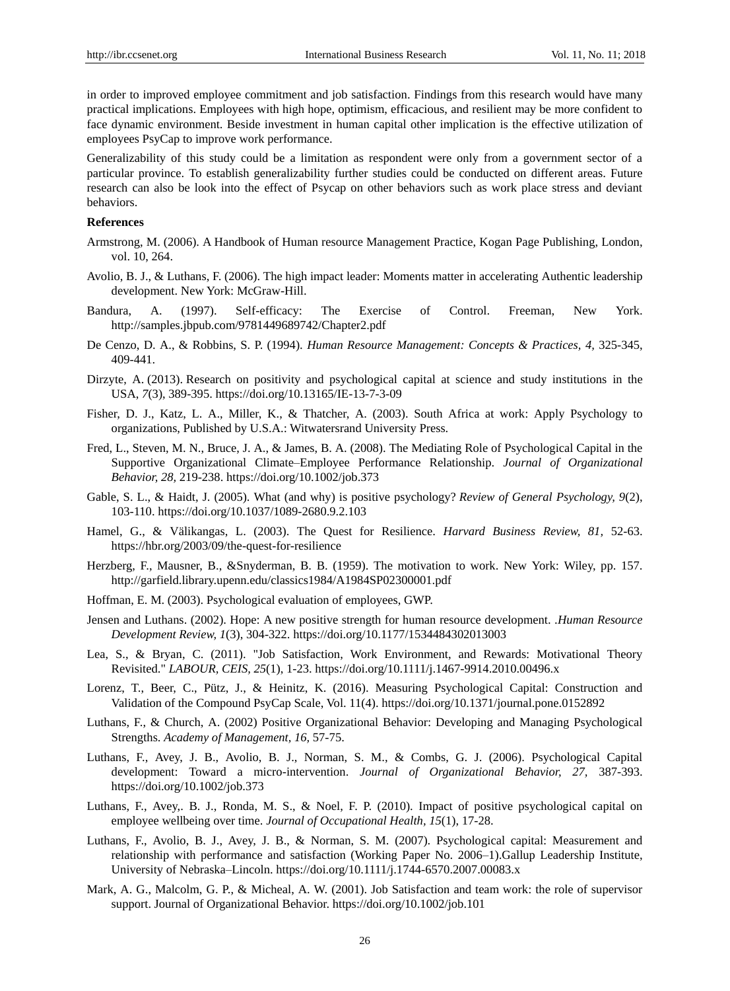in order to improved employee commitment and job satisfaction. Findings from this research would have many practical implications. Employees with high hope, optimism, efficacious, and resilient may be more confident to face dynamic environment. Beside investment in human capital other implication is the effective utilization of employees PsyCap to improve work performance.

Generalizability of this study could be a limitation as respondent were only from a government sector of a particular province. To establish generalizability further studies could be conducted on different areas. Future research can also be look into the effect of Psycap on other behaviors such as work place stress and deviant behaviors.

#### **References**

- Armstrong, M. (2006). A Handbook of Human resource Management Practice, Kogan Page Publishing, London, vol. 10, 264.
- Avolio, B. J., & Luthans, F. (2006). The high impact leader: Moments matter in accelerating Authentic leadership development. New York: McGraw-Hill.
- Bandura, A. (1997). Self-efficacy: The Exercise of Control. Freeman, New York. http://samples.jbpub.com/9781449689742/Chapter2.pdf
- De Cenzo, D. A., & Robbins, S. P. (1994). *Human Resource Management: Concepts & Practices, 4,* 325-345, 409-441.
- Dirzyte, A. (2013). Research on positivity and psychological capital at science and study institutions in the USA, *7*(3), 389-395. <https://doi.org/10.13165/IE-13-7-3-09>
- Fisher, D. J., Katz, L. A., Miller, K., & Thatcher, A. (2003). South Africa at work: Apply Psychology to organizations, Published by U.S.A.: Witwatersrand University Press.
- Fred, L., Steven, M. N., Bruce, J. A., & James, B. A. (2008). The Mediating Role of Psychological Capital in the Supportive Organizational Climate–Employee Performance Relationship. *Journal of Organizational Behavior, 28,* 219-238.<https://doi.org/10.1002/job.373>
- Gable, S. L., & Haidt, J. (2005). What (and why) is positive psychology? *Review of General Psychology, 9*(2), 103-110. https://doi.org/10.1037/1089-2680.9.2.103
- Hamel, G., & Välikangas, L. (2003). The Quest for Resilience. *Harvard Business Review, 81,* 52-63. https://hbr.org/2003/09/the-quest-for-resilience
- Herzberg, F., Mausner, B., &Snyderman, B. B. (1959). The motivation to work. New York: Wiley, pp. 157. <http://garfield.library.upenn.edu/classics1984/A1984SP02300001.pdf>
- Hoffman, E. M. (2003). Psychological evaluation of employees, GWP.
- Jensen and Luthans. (2002). Hope: A new positive strength for human resource development. .*Human Resource [Development Review,](https://www.researchgate.net/journal/1552-6712_Human_Resource_Development_Review) 1*(3), 304-322. https://doi.org/10.1177/1534484302013003
- Lea, S., & Bryan, C. (2011). ["Job Satisfaction, Work Environment, and Rewards: Motivational Theory](https://ideas.repec.org/a/bla/labour/v25y2011i1p1-23.html)  [Revisited.](https://ideas.repec.org/a/bla/labour/v25y2011i1p1-23.html)" *[LABOUR,](https://ideas.repec.org/s/bla/labour.html) CEIS, 25*(1), 1-23.<https://doi.org/10.1111/j.1467-9914.2010.00496.x>
- Lorenz, T., Beer, C., Pütz, J., & Heinitz, K. (2016). Measuring Psychological Capital: Construction and Validation of the Compound PsyCap Scale, Vol. 11(4). https://doi.org[/10.1371/journal.pone.0152892](https://doi.org/10.1371/journal.pone.0152892)
- Luthans, F., & Church, A. (2002) Positive Organizational Behavior: Developing and Managing Psychological Strengths. *Academy of Management, 16,* 57-75.
- Luthans, F., Avey, J. B., Avolio, B. J., Norman, S. M., & Combs, G. J. (2006). Psychological Capital development: Toward a micro-intervention. *Journal of Organizational Behavior, 27,* 387-393. <https://doi.org/10.1002/job.373>
- Luthans, F., Avey,. B. J., Ronda, M. S., & Noel, F. P. (2010). Impact of positive psychological capital on employee wellbeing over time. *Journal of Occupational Health, 15*(1), 17-28.
- Luthans, F., Avolio, B. J., Avey, J. B., & Norman, S. M. (2007). Psychological capital: Measurement and relationship with performance and satisfaction (Working Paper No. 2006–1).Gallup Leadership Institute, University of Nebraska–Lincoln. <https://doi.org/10.1111/j.1744-6570.2007.00083.x>
- Mark, A. G., Malcolm, G. P., & Micheal, A. W. (2001). Job Satisfaction and team work: the role of supervisor support. Journal of Organizational Behavior. https://doi.org/10.1002/job.101